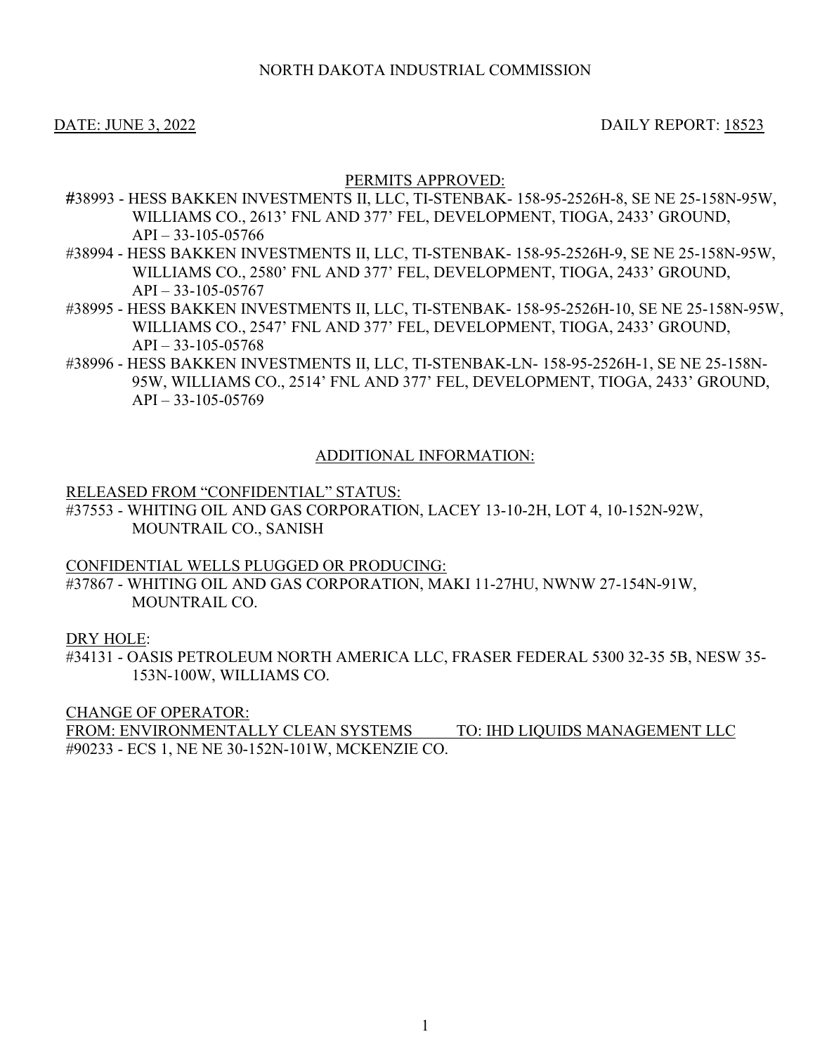# DATE: JUNE 3, 2022 DAILY REPORT: 18523

# PERMITS APPROVED:

- #38993 HESS BAKKEN INVESTMENTS II, LLC, TI-STENBAK- 158-95-2526H-8, SE NE 25-158N-95W, WILLIAMS CO., 2613' FNL AND 377' FEL, DEVELOPMENT, TIOGA, 2433' GROUND,  $API - 33-105-05766$
- #38994 HESS BAKKEN INVESTMENTS II, LLC, TI-STENBAK- 158-95-2526H-9, SE NE 25-158N-95W, WILLIAMS CO., 2580' FNL AND 377' FEL, DEVELOPMENT, TIOGA, 2433' GROUND,  $API - 33-105-05767$
- #38995 HESS BAKKEN INVESTMENTS II, LLC, TI-STENBAK- 158-95-2526H-10, SE NE 25-158N-95W, WILLIAMS CO., 2547' FNL AND 377' FEL, DEVELOPMENT, TIOGA, 2433' GROUND, API – 33-105-05768
- #38996 HESS BAKKEN INVESTMENTS II, LLC, TI-STENBAK-LN- 158-95-2526H-1, SE NE 25-158N-95W, WILLIAMS CO., 2514' FNL AND 377' FEL, DEVELOPMENT, TIOGA, 2433' GROUND,  $API - 33-105-05769$

# ADDITIONAL INFORMATION:

### RELEASED FROM "CONFIDENTIAL" STATUS:

#37553 - WHITING OIL AND GAS CORPORATION, LACEY 13-10-2H, LOT 4, 10-152N-92W, MOUNTRAIL CO., SANISH

CONFIDENTIAL WELLS PLUGGED OR PRODUCING:

#37867 - WHITING OIL AND GAS CORPORATION, MAKI 11-27HU, NWNW 27-154N-91W, MOUNTRAIL CO.

# DRY HOLE:

#34131 - OASIS PETROLEUM NORTH AMERICA LLC, FRASER FEDERAL 5300 32-35 5B, NESW 35- 153N-100W, WILLIAMS CO.

CHANGE OF OPERATOR:

FROM: ENVIRONMENTALLY CLEAN SYSTEMS TO: IHD LIQUIDS MANAGEMENT LLC #90233 - ECS 1, NE NE 30-152N-101W, MCKENZIE CO.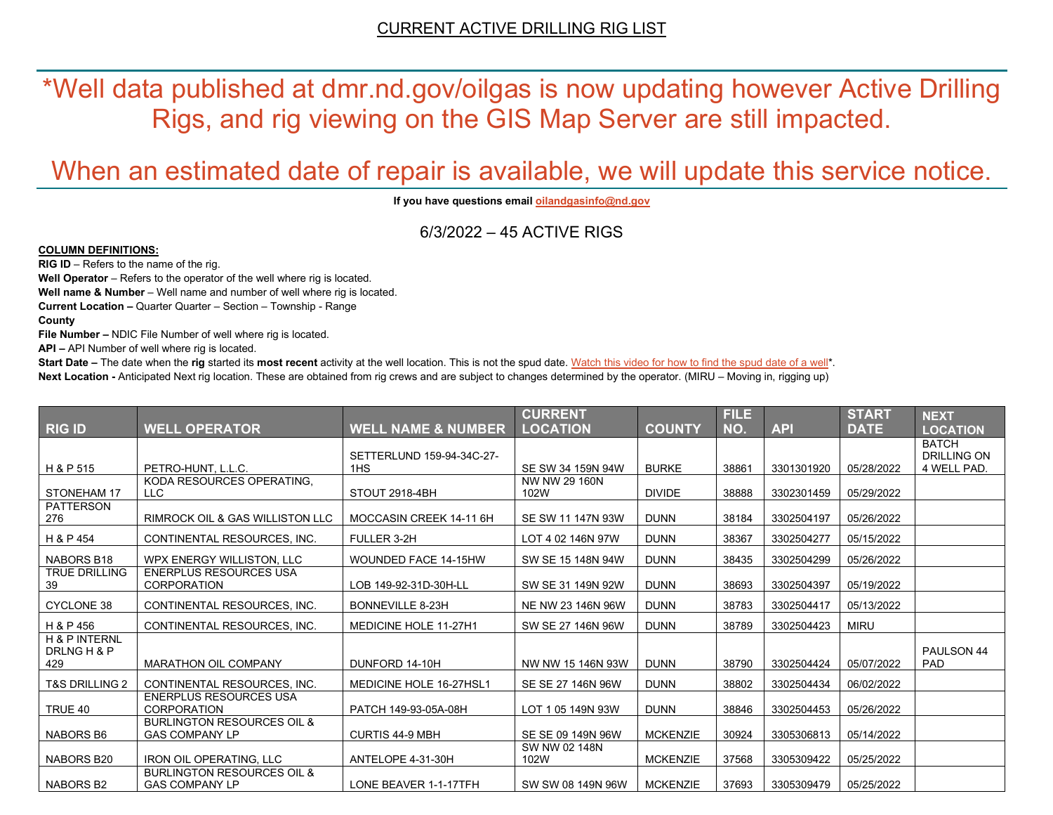\*Well data published at dmr.nd.gov/oilgas is now updating however Active Drilling Rigs, and rig viewing on the GIS Map Server are still impacted.

# When an estimated date of repair is available, we will update this service notice.

**If you have questions emai[l oilandgasinfo@nd.gov](mailto:oilandgasinfo@nd.gov)**

6/3/2022 – 45 ACTIVE RIGS

#### **COLUMN DEFINITIONS:**

**RIG ID** – Refers to the name of the rig.

**Well Operator** – Refers to the operator of the well where rig is located.

**Well name & Number** – Well name and number of well where rig is located.

**Current Location –** Quarter Quarter – Section – Township - Range

**County**

**File Number –** NDIC File Number of well where rig is located.

**API –** API Number of well where rig is located.

**Start Date** – The date when the **rig** started its most recent activity at the well location. This is not the spud date. Watch this video for how [to find the spud date of a well\\*](https://youtu.be/JjWwzuuMVpM). **Next Location -** Anticipated Next rig location. These are obtained from rig crews and are subject to changes determined by the operator. (MIRU – Moving in, rigging up)

|                                                |                                                                |                                  | <b>CURRENT</b>        |                 | <b>FILE</b> |            | <b>START</b> | <b>NEXT</b>                       |
|------------------------------------------------|----------------------------------------------------------------|----------------------------------|-----------------------|-----------------|-------------|------------|--------------|-----------------------------------|
| <b>RIG ID</b>                                  | <b>WELL OPERATOR</b>                                           | <b>WELL NAME &amp; NUMBER</b>    | <b>LOCATION</b>       | <b>COUNTY</b>   | NO.         | <b>API</b> | <b>DATE</b>  | <b>LOCATION</b>                   |
|                                                |                                                                |                                  |                       |                 |             |            |              | <b>BATCH</b>                      |
| H & P 515                                      | PETRO-HUNT, L.L.C.                                             | SETTERLUND 159-94-34C-27-<br>1HS | SE SW 34 159N 94W     | <b>BURKE</b>    | 38861       | 3301301920 | 05/28/2022   | <b>DRILLING ON</b><br>4 WELL PAD. |
|                                                | KODA RESOURCES OPERATING,                                      |                                  | NW NW 29 160N         |                 |             |            |              |                                   |
| STONEHAM 17                                    | LLC                                                            | STOUT 2918-4BH                   | 102W                  | <b>DIVIDE</b>   | 38888       | 3302301459 | 05/29/2022   |                                   |
| <b>PATTERSON</b><br>276                        | <b>RIMROCK OIL &amp; GAS WILLISTON LLC</b>                     | MOCCASIN CREEK 14-11 6H          | SE SW 11 147N 93W     | <b>DUNN</b>     | 38184       | 3302504197 | 05/26/2022   |                                   |
| H & P 454                                      | CONTINENTAL RESOURCES, INC.                                    | FULLER 3-2H                      | LOT 4 02 146N 97W     | <b>DUNN</b>     | 38367       | 3302504277 | 05/15/2022   |                                   |
| NABORS B18                                     | WPX ENERGY WILLISTON, LLC                                      | <b>WOUNDED FACE 14-15HW</b>      | SW SE 15 148N 94W     | <b>DUNN</b>     | 38435       | 3302504299 | 05/26/2022   |                                   |
| <b>TRUE DRILLING</b><br>39                     | <b>ENERPLUS RESOURCES USA</b><br><b>CORPORATION</b>            | LOB 149-92-31D-30H-LL            | SW SE 31 149N 92W     | <b>DUNN</b>     | 38693       | 3302504397 | 05/19/2022   |                                   |
| <b>CYCLONE 38</b>                              | CONTINENTAL RESOURCES, INC.                                    | BONNEVILLE 8-23H                 | NE NW 23 146N 96W     | <b>DUNN</b>     | 38783       | 3302504417 | 05/13/2022   |                                   |
| H & P 456                                      | CONTINENTAL RESOURCES. INC.                                    | <b>MEDICINE HOLE 11-27H1</b>     | SW SE 27 146N 96W     | <b>DUNN</b>     | 38789       | 3302504423 | <b>MIRU</b>  |                                   |
| <b>H &amp; P INTERNL</b><br>DRLNG H & P<br>429 | <b>MARATHON OIL COMPANY</b>                                    | DUNFORD 14-10H                   | NW NW 15 146N 93W     | <b>DUNN</b>     | 38790       | 3302504424 | 05/07/2022   | PAULSON 44<br><b>PAD</b>          |
| <b>T&amp;S DRILLING 2</b>                      | CONTINENTAL RESOURCES. INC.                                    | MEDICINE HOLE 16-27HSL1          | SE SE 27 146N 96W     | <b>DUNN</b>     | 38802       | 3302504434 | 06/02/2022   |                                   |
| TRUE 40                                        | <b>ENERPLUS RESOURCES USA</b><br><b>CORPORATION</b>            | PATCH 149-93-05A-08H             | LOT 1 05 149N 93W     | <b>DUNN</b>     | 38846       | 3302504453 | 05/26/2022   |                                   |
| NABORS B6                                      | <b>BURLINGTON RESOURCES OIL &amp;</b><br><b>GAS COMPANY LP</b> | <b>CURTIS 44-9 MBH</b>           | SE SE 09 149N 96W     | <b>MCKENZIE</b> | 30924       | 3305306813 | 05/14/2022   |                                   |
| NABORS B20                                     | <b>IRON OIL OPERATING, LLC</b>                                 | ANTELOPE 4-31-30H                | SW NW 02 148N<br>102W | <b>MCKENZIE</b> | 37568       | 3305309422 | 05/25/2022   |                                   |
| NABORS B2                                      | <b>BURLINGTON RESOURCES OIL &amp;</b><br><b>GAS COMPANY LP</b> | LONE BEAVER 1-1-17TFH            | SW SW 08 149N 96W     | <b>MCKENZIE</b> | 37693       | 3305309479 | 05/25/2022   |                                   |